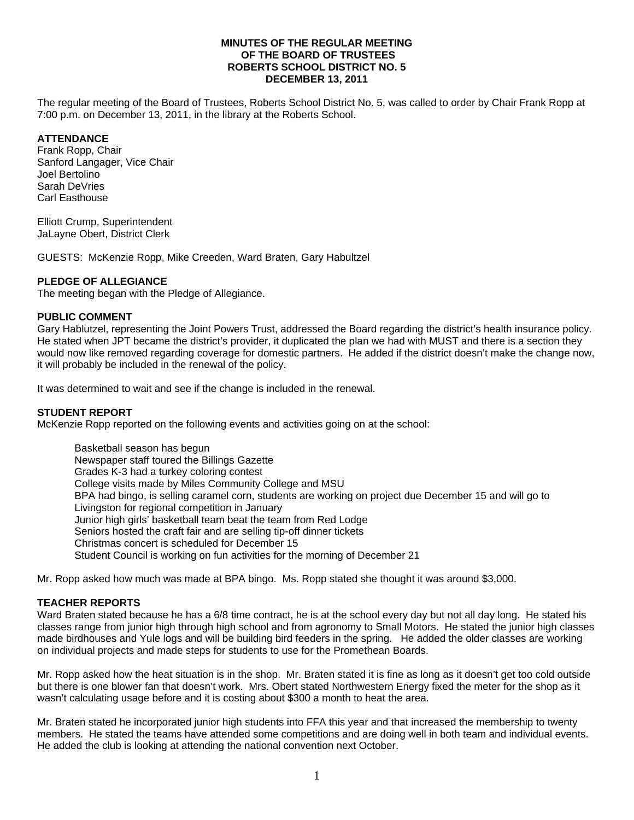## **MINUTES OF THE REGULAR MEETING OF THE BOARD OF TRUSTEES ROBERTS SCHOOL DISTRICT NO. 5 DECEMBER 13, 2011**

The regular meeting of the Board of Trustees, Roberts School District No. 5, was called to order by Chair Frank Ropp at 7:00 p.m. on December 13, 2011, in the library at the Roberts School.

# **ATTENDANCE**

Frank Ropp, Chair Sanford Langager, Vice Chair Joel Bertolino Sarah DeVries Carl Easthouse

Elliott Crump, Superintendent JaLayne Obert, District Clerk

GUESTS: McKenzie Ropp, Mike Creeden, Ward Braten, Gary Habultzel

# **PLEDGE OF ALLEGIANCE**

The meeting began with the Pledge of Allegiance.

# **PUBLIC COMMENT**

Gary Hablutzel, representing the Joint Powers Trust, addressed the Board regarding the district's health insurance policy. He stated when JPT became the district's provider, it duplicated the plan we had with MUST and there is a section they would now like removed regarding coverage for domestic partners. He added if the district doesn't make the change now, it will probably be included in the renewal of the policy.

It was determined to wait and see if the change is included in the renewal.

# **STUDENT REPORT**

McKenzie Ropp reported on the following events and activities going on at the school:

 Basketball season has begun Newspaper staff toured the Billings Gazette Grades K-3 had a turkey coloring contest College visits made by Miles Community College and MSU BPA had bingo, is selling caramel corn, students are working on project due December 15 and will go to Livingston for regional competition in January Junior high girls' basketball team beat the team from Red Lodge Seniors hosted the craft fair and are selling tip-off dinner tickets Christmas concert is scheduled for December 15 Student Council is working on fun activities for the morning of December 21

Mr. Ropp asked how much was made at BPA bingo. Ms. Ropp stated she thought it was around \$3,000.

# **TEACHER REPORTS**

Ward Braten stated because he has a 6/8 time contract, he is at the school every day but not all day long. He stated his classes range from junior high through high school and from agronomy to Small Motors. He stated the junior high classes made birdhouses and Yule logs and will be building bird feeders in the spring. He added the older classes are working on individual projects and made steps for students to use for the Promethean Boards.

Mr. Ropp asked how the heat situation is in the shop. Mr. Braten stated it is fine as long as it doesn't get too cold outside but there is one blower fan that doesn't work. Mrs. Obert stated Northwestern Energy fixed the meter for the shop as it wasn't calculating usage before and it is costing about \$300 a month to heat the area.

Mr. Braten stated he incorporated junior high students into FFA this year and that increased the membership to twenty members. He stated the teams have attended some competitions and are doing well in both team and individual events. He added the club is looking at attending the national convention next October.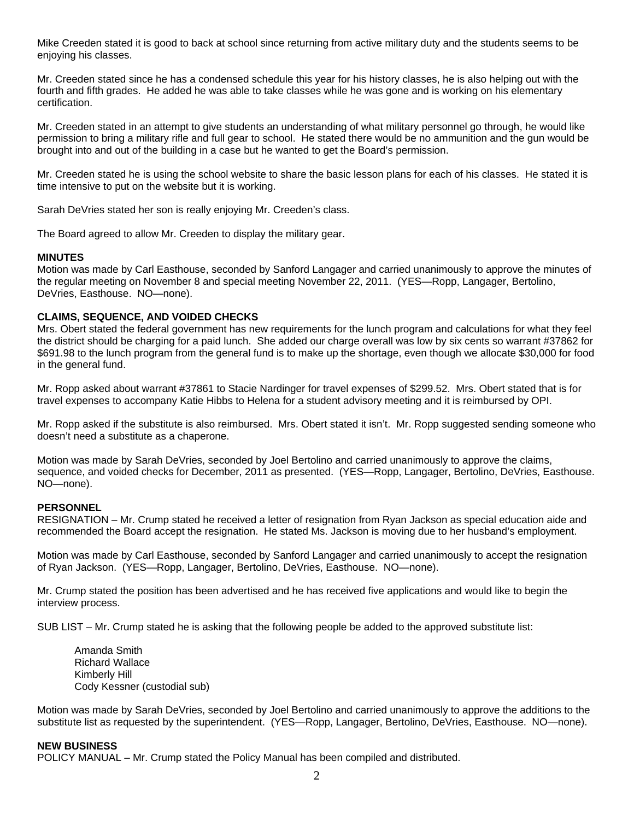Mike Creeden stated it is good to back at school since returning from active military duty and the students seems to be enjoying his classes.

Mr. Creeden stated since he has a condensed schedule this year for his history classes, he is also helping out with the fourth and fifth grades. He added he was able to take classes while he was gone and is working on his elementary certification.

Mr. Creeden stated in an attempt to give students an understanding of what military personnel go through, he would like permission to bring a military rifle and full gear to school. He stated there would be no ammunition and the gun would be brought into and out of the building in a case but he wanted to get the Board's permission.

Mr. Creeden stated he is using the school website to share the basic lesson plans for each of his classes. He stated it is time intensive to put on the website but it is working.

Sarah DeVries stated her son is really enjoying Mr. Creeden's class.

The Board agreed to allow Mr. Creeden to display the military gear.

#### **MINUTES**

Motion was made by Carl Easthouse, seconded by Sanford Langager and carried unanimously to approve the minutes of the regular meeting on November 8 and special meeting November 22, 2011. (YES—Ropp, Langager, Bertolino, DeVries, Easthouse. NO—none).

### **CLAIMS, SEQUENCE, AND VOIDED CHECKS**

Mrs. Obert stated the federal government has new requirements for the lunch program and calculations for what they feel the district should be charging for a paid lunch. She added our charge overall was low by six cents so warrant #37862 for \$691.98 to the lunch program from the general fund is to make up the shortage, even though we allocate \$30,000 for food in the general fund.

Mr. Ropp asked about warrant #37861 to Stacie Nardinger for travel expenses of \$299.52. Mrs. Obert stated that is for travel expenses to accompany Katie Hibbs to Helena for a student advisory meeting and it is reimbursed by OPI.

Mr. Ropp asked if the substitute is also reimbursed. Mrs. Obert stated it isn't. Mr. Ropp suggested sending someone who doesn't need a substitute as a chaperone.

Motion was made by Sarah DeVries, seconded by Joel Bertolino and carried unanimously to approve the claims, sequence, and voided checks for December, 2011 as presented. (YES—Ropp, Langager, Bertolino, DeVries, Easthouse. NO—none).

#### **PERSONNEL**

RESIGNATION – Mr. Crump stated he received a letter of resignation from Ryan Jackson as special education aide and recommended the Board accept the resignation. He stated Ms. Jackson is moving due to her husband's employment.

Motion was made by Carl Easthouse, seconded by Sanford Langager and carried unanimously to accept the resignation of Ryan Jackson. (YES—Ropp, Langager, Bertolino, DeVries, Easthouse. NO—none).

Mr. Crump stated the position has been advertised and he has received five applications and would like to begin the interview process.

SUB LIST – Mr. Crump stated he is asking that the following people be added to the approved substitute list:

 Amanda Smith Richard Wallace Kimberly Hill Cody Kessner (custodial sub)

Motion was made by Sarah DeVries, seconded by Joel Bertolino and carried unanimously to approve the additions to the substitute list as requested by the superintendent. (YES—Ropp, Langager, Bertolino, DeVries, Easthouse. NO—none).

#### **NEW BUSINESS**

POLICY MANUAL – Mr. Crump stated the Policy Manual has been compiled and distributed.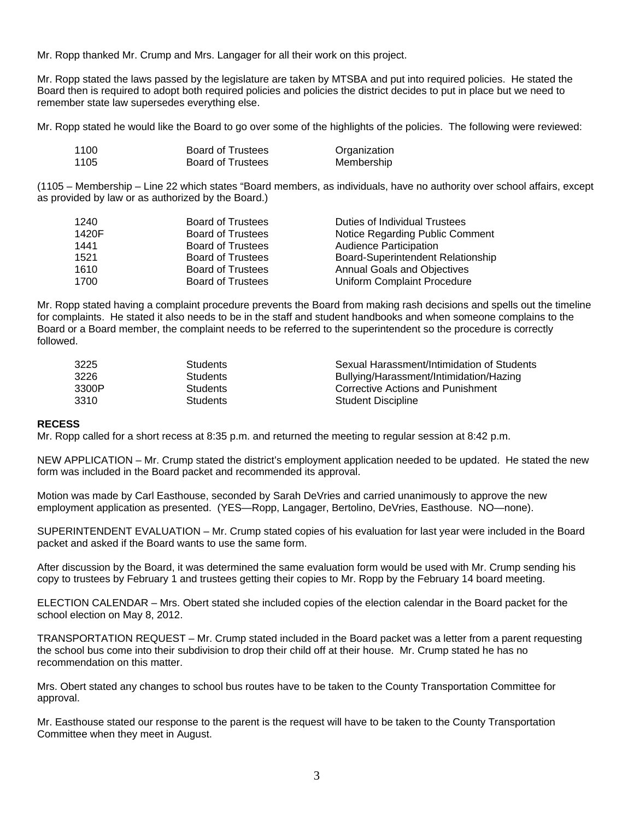Mr. Ropp thanked Mr. Crump and Mrs. Langager for all their work on this project.

Mr. Ropp stated the laws passed by the legislature are taken by MTSBA and put into required policies. He stated the Board then is required to adopt both required policies and policies the district decides to put in place but we need to remember state law supersedes everything else.

Mr. Ropp stated he would like the Board to go over some of the highlights of the policies. The following were reviewed:

| 1100 | <b>Board of Trustees</b> | Organization |
|------|--------------------------|--------------|
| 1105 | <b>Board of Trustees</b> | Membership   |

(1105 – Membership – Line 22 which states "Board members, as individuals, have no authority over school affairs, except as provided by law or as authorized by the Board.)

| 1240  | <b>Board of Trustees</b> | Duties of Individual Trustees      |
|-------|--------------------------|------------------------------------|
| 1420F | <b>Board of Trustees</b> | Notice Regarding Public Comment    |
| 1441  | <b>Board of Trustees</b> | <b>Audience Participation</b>      |
| 1521  | <b>Board of Trustees</b> | Board-Superintendent Relationship  |
| 1610  | <b>Board of Trustees</b> | <b>Annual Goals and Objectives</b> |
| 1700  | <b>Board of Trustees</b> | Uniform Complaint Procedure        |

Mr. Ropp stated having a complaint procedure prevents the Board from making rash decisions and spells out the timeline for complaints. He stated it also needs to be in the staff and student handbooks and when someone complains to the Board or a Board member, the complaint needs to be referred to the superintendent so the procedure is correctly followed.

| 3225  | Students        | Sexual Harassment/Intimidation of Students |
|-------|-----------------|--------------------------------------------|
| 3226  | <b>Students</b> | Bullying/Harassment/Intimidation/Hazing    |
| 3300P | <b>Students</b> | Corrective Actions and Punishment          |
| 3310  | Students        | <b>Student Discipline</b>                  |

### **RECESS**

Mr. Ropp called for a short recess at 8:35 p.m. and returned the meeting to regular session at 8:42 p.m.

NEW APPLICATION – Mr. Crump stated the district's employment application needed to be updated. He stated the new form was included in the Board packet and recommended its approval.

Motion was made by Carl Easthouse, seconded by Sarah DeVries and carried unanimously to approve the new employment application as presented. (YES—Ropp, Langager, Bertolino, DeVries, Easthouse. NO—none).

SUPERINTENDENT EVALUATION – Mr. Crump stated copies of his evaluation for last year were included in the Board packet and asked if the Board wants to use the same form.

After discussion by the Board, it was determined the same evaluation form would be used with Mr. Crump sending his copy to trustees by February 1 and trustees getting their copies to Mr. Ropp by the February 14 board meeting.

ELECTION CALENDAR – Mrs. Obert stated she included copies of the election calendar in the Board packet for the school election on May 8, 2012.

TRANSPORTATION REQUEST – Mr. Crump stated included in the Board packet was a letter from a parent requesting the school bus come into their subdivision to drop their child off at their house. Mr. Crump stated he has no recommendation on this matter.

Mrs. Obert stated any changes to school bus routes have to be taken to the County Transportation Committee for approval.

Mr. Easthouse stated our response to the parent is the request will have to be taken to the County Transportation Committee when they meet in August.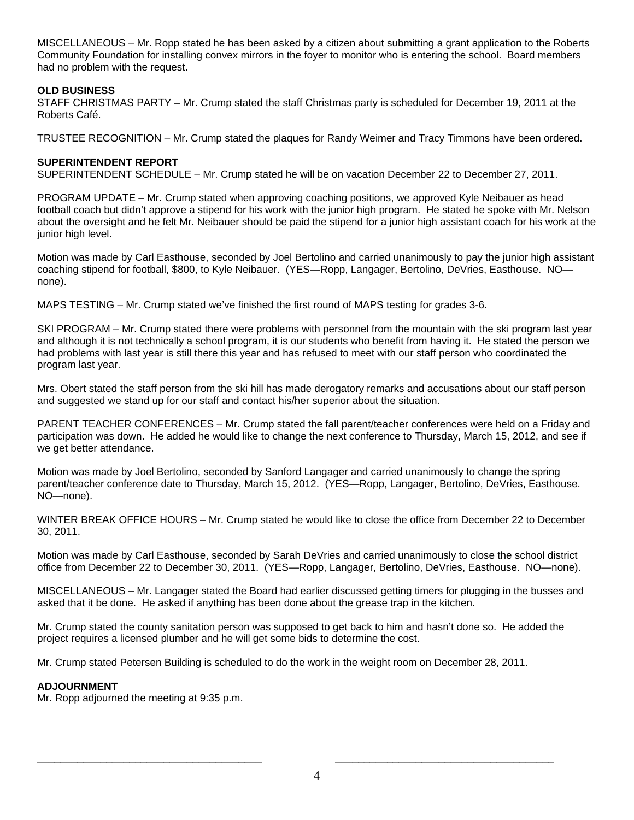MISCELLANEOUS – Mr. Ropp stated he has been asked by a citizen about submitting a grant application to the Roberts Community Foundation for installing convex mirrors in the foyer to monitor who is entering the school. Board members had no problem with the request.

# **OLD BUSINESS**

STAFF CHRISTMAS PARTY – Mr. Crump stated the staff Christmas party is scheduled for December 19, 2011 at the Roberts Café.

TRUSTEE RECOGNITION – Mr. Crump stated the plaques for Randy Weimer and Tracy Timmons have been ordered.

# **SUPERINTENDENT REPORT**

SUPERINTENDENT SCHEDULE – Mr. Crump stated he will be on vacation December 22 to December 27, 2011.

PROGRAM UPDATE – Mr. Crump stated when approving coaching positions, we approved Kyle Neibauer as head football coach but didn't approve a stipend for his work with the junior high program. He stated he spoke with Mr. Nelson about the oversight and he felt Mr. Neibauer should be paid the stipend for a junior high assistant coach for his work at the junior high level.

Motion was made by Carl Easthouse, seconded by Joel Bertolino and carried unanimously to pay the junior high assistant coaching stipend for football, \$800, to Kyle Neibauer. (YES—Ropp, Langager, Bertolino, DeVries, Easthouse. NO none).

MAPS TESTING – Mr. Crump stated we've finished the first round of MAPS testing for grades 3-6.

SKI PROGRAM – Mr. Crump stated there were problems with personnel from the mountain with the ski program last year and although it is not technically a school program, it is our students who benefit from having it. He stated the person we had problems with last year is still there this year and has refused to meet with our staff person who coordinated the program last year.

Mrs. Obert stated the staff person from the ski hill has made derogatory remarks and accusations about our staff person and suggested we stand up for our staff and contact his/her superior about the situation.

PARENT TEACHER CONFERENCES – Mr. Crump stated the fall parent/teacher conferences were held on a Friday and participation was down. He added he would like to change the next conference to Thursday, March 15, 2012, and see if we get better attendance.

Motion was made by Joel Bertolino, seconded by Sanford Langager and carried unanimously to change the spring parent/teacher conference date to Thursday, March 15, 2012. (YES—Ropp, Langager, Bertolino, DeVries, Easthouse. NO—none).

WINTER BREAK OFFICE HOURS – Mr. Crump stated he would like to close the office from December 22 to December 30, 2011.

Motion was made by Carl Easthouse, seconded by Sarah DeVries and carried unanimously to close the school district office from December 22 to December 30, 2011. (YES—Ropp, Langager, Bertolino, DeVries, Easthouse. NO—none).

MISCELLANEOUS – Mr. Langager stated the Board had earlier discussed getting timers for plugging in the busses and asked that it be done. He asked if anything has been done about the grease trap in the kitchen.

Mr. Crump stated the county sanitation person was supposed to get back to him and hasn't done so. He added the project requires a licensed plumber and he will get some bids to determine the cost.

Mr. Crump stated Petersen Building is scheduled to do the work in the weight room on December 28, 2011.

# **ADJOURNMENT**

Mr. Ropp adjourned the meeting at 9:35 p.m.

\_\_\_\_\_\_\_\_\_\_\_\_\_\_\_\_\_\_\_\_\_\_\_\_\_\_\_\_\_\_\_\_\_\_\_\_\_\_\_ \_\_\_\_\_\_\_\_\_\_\_\_\_\_\_\_\_\_\_\_\_\_\_\_\_\_\_\_\_\_\_\_\_\_\_\_\_\_